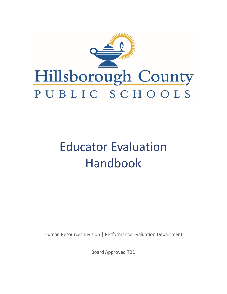

# Educator Evaluation Handbook

Human Resources Division | Performance Evaluation Department

Board Approved TBD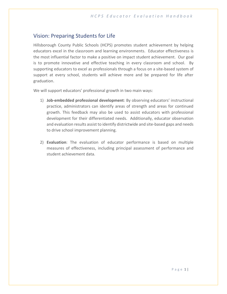# Vision: Preparing Students for Life

Hillsborough County Public Schools (HCPS) promotes student achievement by helping educators excel in the classroom and learning environments. Educator effectiveness is the most influential factor to make a positive on impact student achievement. Our goal is to promote innovative and effective teaching in every classroom and school. By supporting educators to excel as professionals through a focus on a site-based system of support at every school, students will achieve more and be prepared for life after graduation.

We will support educators' professional growth in two main ways:

- 1) **Job-embedded professional development**: By observing educators' instructional practice, administrators can identify areas of strength and areas for continued growth. This feedback may also be used to assist educators with professional development for their differentiated needs. Additionally, educator observation and evaluation results assist to identify districtwide and site-based gaps and needs to drive school improvement planning.
- 2) **Evaluation**: The evaluation of educator performance is based on multiple measures of effectiveness, including principal assessment of performance and student achievement data.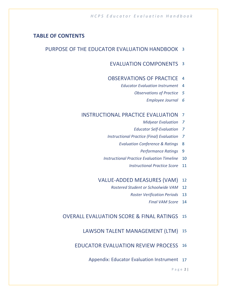# **TABLE OF CONTENTS**

# PURPOSE OF THE EDUCATOR EVALUATION HANDBOOK 3

# EVALUATION COMPONENTS 3

## OBSERVATIONS OF PRACTICE 4

- *Educator Evaluation Instrument* 4
	- *Observations of Practice 5*
		- *Employee Journal 6*

## INSTRUCTIONAL PRACTICE EVALUATION 7

- *Midyear Evaluation 7*
- *Educator Self-Evaluation 7*
- *Instructional Practice (Final) Evaluation 7*
	- *Evaluation Conference & Ratings* 8
		- *Performance Ratings* 9
- *Instructional Practice Evaluation Timeline* 10
	- *Instructional Practice Score* 11

# VALUE-ADDED MEASURES (VAM) 12

- *Rostered Student or Schoolwide VAM* 12
	- *Roster Verification Periods* 13
		- *Final VAM Score* 14

# OVERALL EVALUATION SCORE & FINAL RATINGS 15

## LAWSON TALENT MANAGEMENT (LTM) 15

# EDUCATOR EVALUATION REVIEW PROCESS 16

Appendix: Educator Evaluation Instrument 17

P a g e 2 |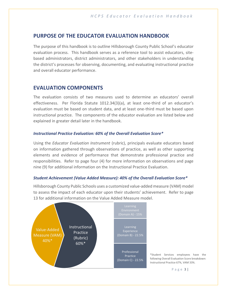## **PURPOSE OF THE EDUCATOR EVALUATION HANDBOOK**

The purpose of this handbook is to outline Hillsborough County Public School's educator evaluation process. This handbook serves as a reference tool to assist educators, sitebased administrators, district administrators, and other stakeholders in understanding the district's processes for observing, documenting, and evaluating instructional practice and overall educator performance.

## **EVALUATION COMPONENTS**

The evaluation consists of two measures used to determine an educators' overall effectiveness. Per Florida Statute 1012.34(3)(a), at least one-third of an educator's evaluation must be based on student data, and at least one-third must be based upon instructional practice. The components of the educator evaluation are listed below and explained in greater detail later in the handbook.

#### *Instructional Practice Evaluation: 60% of the Overall Evaluation Score\**

Using the *Educator Evaluation Instrument* (rubric), principals evaluate educators based on information gathered through observations of practice, as well as other supporting elements and evidence of performance that demonstrate professional practice and responsibilities. Refer to page four (4) for more information on observations and page nine (9) for additional information on the Instructional Practice Evaluation.

#### *Student Achievement (Value Added Measure): 40% of the Overall Evaluation Score\**

Hillsborough County Public Schools uses a customized value‐added measure (VAM) model to assess the impact of each educator upon their students' achievement. Refer to page 13 for additional information on the Value Added Measure model.



\*Student Services employees have the following Overall Evaluation Score breakdown: Instructional Practice 67%, VAM 33%.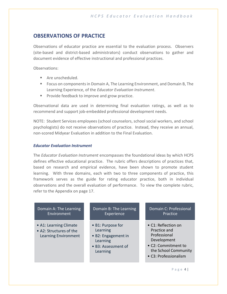# **OBSERVATIONS OF PRACTICE**

Observations of educator practice are essential to the evaluation process. Observers (site-based and district-based administrators) conduct observations to gather and document evidence of effective instructional and professional practices.

Observations:

- Are unscheduled.
- Focus on components in Domain A, The Learning Environment, and Domain B, The Learning Experience, of the *Educator Evaluation Instrument*.
- Provide feedback to improve and grow practice.

Observational data are used in determining final evaluation ratings, as well as to recommend and support job-embedded professional development needs.

NOTE: Student Services employees (school counselors, school social workers, and school psychologists) do not receive observations of practice. Instead, they receive an annual, non-scored Midyear Evaluation in addition to the Final Evaluation.

#### *Educator Evaluation Instrument*

The *Educator Evaluation Instrument* encompasses the foundational ideas by which HCPS defines effective educational practice. The rubric offers descriptions of practices that, based on research and empirical evidence, have been shown to promote student learning. With three domains, each with two to three components of practice, this framework serves as the guide for rating educator practice, both in individual observations and the overall evaluation of performance. To view the complete rubric, refer to the Appendix on page 17.

#### Domain A: The Learning Environment

- A1: Learning Climate
- A2: Structures of the Learning Environment

## Domain B: The Learning Experience

- B1: Purpose for Learning
- B2: Engagement in **Learning**
- B3: Assessment of **Learning**

## Domain C: Professional Practice

- C1: Reflection on Practice and Professional Development
- C2: Commitment to the School Community
- C3: Professionalism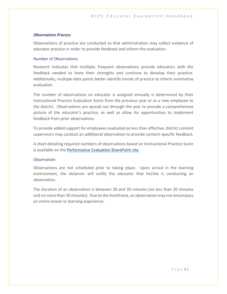#### *Observation Process*

Observations of practice are conducted so that administrators may collect evidence of educator practice in order to provide feedback and inform the evaluation.

#### Number of Observations

Research indicates that multiple, frequent observations provide educators with the feedback needed to hone their strengths and continue to develop their practice. Additionally, multiple data points better identify trends of practice to inform summative evaluation.

The number of observations an educator is assigned annually is determined by their Instructional Practice Evaluation Score from the previous year or as a new employee to the district. Observations are spread out through the year to provide a comprehensive picture of the educator's practice, as well as allow for opportunities to implement feedback from prior observations.

To provide added support for employees evaluated as less than effective, district content supervisors may conduct an additional observation to provide content-specific feedback.

A chart detailing required numbers of observations based on Instructional Practice Score is available on the [Performance Evaluation SharePoint site.](https://hillsborough.sharepoint.com/sites/PerformanceEvaluation)

#### **Observation**

Observations are not scheduled prior to taking place. Upon arrival in the learning environment, the observer will notify the educator that he/she is conducting an observation.

The duration of an observation is between 20 and 30 minutes (no less than 20 minutes and no more than 30 minutes). Due to the timeframe, an observation may not encompass an entire lesson or learning experience.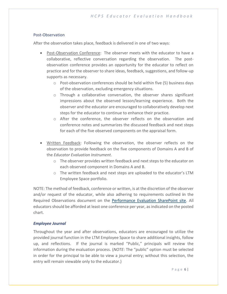#### Post-Observation

After the observation takes place, feedback is delivered in one of two ways:

- Post-Observation Conference: The observer meets with the educator to have a collaborative, reflective conversation regarding the observation. The postobservation conference provides an opportunity for the educator to reflect on practice and for the observer to share ideas, feedback, suggestions, and follow-up supports as necessary.
	- $\circ$  Post-observation conferences should be held within five (5) business days of the observation, excluding emergency situations.
	- $\circ$  Through a collaborative conversation, the observer shares significant impressions about the observed lesson/learning experience. Both the observer and the educator are encouraged to collaboratively develop next steps for the educator to continue to enhance their practice.
	- o After the conference, the observer reflects on the observation and conference notes and summarizes the discussed feedback and next steps for each of the five observed components on the appraisal form.
- Written Feedback: Following the observation, the observer reflects on the observation to provide feedback on the five components of Domains A and B of the *Educator Evaluation Instrument*.
	- $\circ$  The observer provides written feedback and next steps to the educator on each observed component in Domains A and B.
	- o The written feedback and next steps are uploaded to the educator's LTM Employee Space portfolio.

NOTE: The method of feedback, conference or written, is at the discretion of the observer and/or request of the educator, while also adhering to requirements outlined **i**n the Required Observations document on the [Performance Evaluation SharePoint site.](https://hillsborough.sharepoint.com/sites/PerformanceEvaluation) All educators should be afforded at least one conference per year, as indicated on the posted chart.

#### *Employee Journal*

Throughout the year and after observations, educators are encouraged to utilize the provided journal function in the LTM Employee Space to share additional insights, follow up, and reflections. If the journal is marked "Public," principals will review the information during the evaluation process. (*NOTE*: The "public" option must be selected in order for the principal to be able to view a journal entry; without this selection, the entry will remain viewable only to the educator.)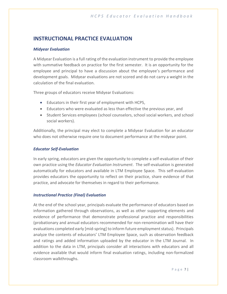# **INSTRUCTIONAL PRACTICE EVALUATION**

#### *Midyear Evaluation*

A Midyear Evaluation is a full rating of the evaluation instrument to provide the employee with summative feedback on practice for the first semester. It is an opportunity for the employee and principal to have a discussion about the employee's performance and development goals. Midyear evaluations are not scored and do not carry a weight in the calculation of the final evaluation.

Three groups of educators receive Midyear Evaluations:

- Educators in their first year of employment with HCPS,
- Educators who were evaluated as less than effective the previous year, and
- Student Services employees (school counselors, school social workers, and school social workers).

Additionally, the principal may elect to complete a Midyear Evaluation for an educator who does not otherwise require one to document performance at the midyear point.

#### *Educator Self-Evaluation*

In early spring, educators are given the opportunity to complete a self-evaluation of their own practice using the *Educator Evaluation Instrument*. The self-evaluation is generated automatically for educators and available in LTM Employee Space. This self-evaluation provides educators the opportunity to reflect on their practice, share evidence of that practice, and advocate for themselves in regard to their performance.

#### *Instructional Practice (Final) Evaluation*

At the end of the school year, principals evaluate the performance of educators based on information gathered through observations, as well as other supporting elements and evidence of performance that demonstrate professional practice and responsibilities (probationary and annual educators recommended for non-renomination will have their evaluations completed early [mid-spring] to inform future employment status). Principals analyze the contents of educators' LTM Employee Space, such as observation feedback and ratings and added information uploaded by the educator in the LTM Journal. In addition to the data in LTM, principals consider all interactions with educators and all evidence available that would inform final evaluation ratings, including non-formalized classroom walkthroughs.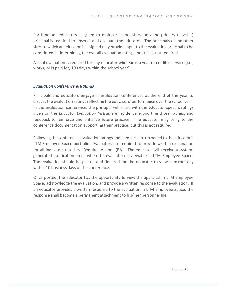For itinerant educators assigned to multiple school sites, only the primary (Level 1) principal is required to observe and evaluate the educator. The principals of the other sites to which an educator is assigned may provide input to the evaluating principal to be considered in determining the overall evaluation ratings, but this is not required.

A final evaluation is required for any educator who earns a year of credible service (i.e., works, or is paid for, 100 days within the school year).

#### *Evaluation Conference & Ratings*

Principals and educators engage in evaluation conferences at the end of the year to discuss the evaluation ratings reflecting the educators' performance over the school year. In the evaluation conference, the principal will share with the educator specific ratings given on the *Educator Evaluation Instrument*, evidence supporting those ratings, and feedback to reinforce and enhance future practice. The educator may bring to the conference documentation supporting their practice, but this is not required.

Following the conference, evaluation ratings and feedback are uploaded to the educator's LTM Employee Space portfolio. Evaluators are required to provide written explanation for all indicators rated as "Requires Action" (RA). The educator will receive a systemgenerated notification email when the evaluation is viewable in LTM Employee Space. The evaluation should be posted and finalized for the educator to view electronically within 10 business days of the conference.

Once posted, the educator has the opportunity to view the appraisal in LTM Employee Space, acknowledge the evaluation, and provide a written response to the evaluation. If an educator provides a written response to the evaluation in LTM Employee Space, the response shall become a permanent attachment to his/ her personnel file.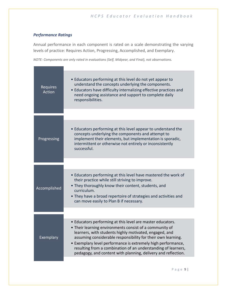## *Performance Ratings*

Annual performance in each component is rated on a scale demonstrating the varying levels of practice: Requires Action, Progressing, Accomplished, and Exemplary.

*NOTE: Components are only rated in evaluations (Self, Midyear, and Final), not observations.*

| Requires<br><b>Action</b> | • Educators performing at this level do not yet appear to<br>understand the concepts underlying the components.<br>• Educators have difficulty internalizing effective practices and<br>need ongoing assistance and support to complete daily<br>responsibilities.                                                                                                                                                                                |
|---------------------------|---------------------------------------------------------------------------------------------------------------------------------------------------------------------------------------------------------------------------------------------------------------------------------------------------------------------------------------------------------------------------------------------------------------------------------------------------|
| Progressing               | • Educators performing at this level appear to understand the<br>concepts underlying the components and attempt to<br>implement their elements, but implementation is sporadic,<br>intermittent or otherwise not entirely or inconsistently<br>successful.                                                                                                                                                                                        |
|                           |                                                                                                                                                                                                                                                                                                                                                                                                                                                   |
| Accomplished              | • Educators performing at this level have mastered the work of<br>their practice while still striving to improve.<br>• They thoroughly know their content, students, and<br>curriculum.<br>• They have a broad repertoire of strategies and activities and<br>can move easily to Plan B if necessary.                                                                                                                                             |
|                           |                                                                                                                                                                                                                                                                                                                                                                                                                                                   |
| Exemplary                 | • Educators performing at this level are master educators.<br>• Their learning environments consist of a community of<br>learners, with students highly motivated, engaged, and<br>assuming considerable responsibility for their own learning.<br>• Exemplary level performance is extremely high performance,<br>resulting from a combination of an understanding of learners,<br>pedagogy, and content with planning, delivery and reflection. |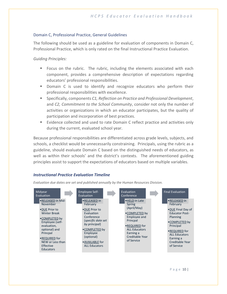## Domain C, Professional Practice, General Guidelines

The following should be used as a guideline for evaluation of components in Domain C, Professional Practice, which is only rated on the final Instructional Practice Evaluation.

#### *Guiding Principles:*

- Focus on the rubric. The rubric, including the elements associated with each component, provides a comprehensive description of expectations regarding educators' professional responsibilities.
- **•** Domain C is used to identify and recognize educators who perform their professional responsibilities with excellence.
- Specifically, components *C1, Reflection on Practice and Professional Development*, and *C2, Commitment to the School Community*, consider not only the number of activities or organizations in which an educator participates, but the quality of participation and incorporation of best practices.
- Evidence collected and used to rate Domain C reflect practice and activities only during the current, evaluated school year.

Because professional responsibilities are differentiated across grade levels, subjects, and schools, a checklist would be unnecessarily constraining. Principals, using the rubric as a guideline, should evaluate Domain C based on the distinguished needs of educators, as well as within their schools' and the district's contexts. The aforementioned guiding principles assist to support the expectations of educators based on multiple variables.

#### *Instructional Practice Evaluation Timeline*



*Evaluation due dates are set and published annually by the Human Resources Division.*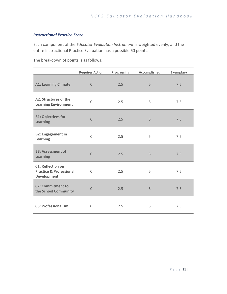#### *Instructional Practice Score*

Each component of the *Educator Evaluation Instrument* is weighted evenly, and the entire Instructional Practice Evaluation has a possible 60 points.

The breakdown of points is as follows:

|                                                                                      | <b>Requires Action</b> | Progressing | Accomplished | <b>Exemplary</b> |
|--------------------------------------------------------------------------------------|------------------------|-------------|--------------|------------------|
| <b>A1: Learning Climate</b>                                                          | $\Omega$               | 2.5         | 5            | 7.5              |
| A2: Structures of the<br><b>Learning Environment</b>                                 | $\Omega$               | 2.5         | 5            | 7.5              |
| <b>B1: Objectives for</b><br><b>Learning</b>                                         | $\Omega$               | 2.5         | 5            | 7.5              |
| <b>B2: Engagement in</b><br>Learning                                                 | $\Omega$               | 2.5         | 5            | 7.5              |
| <b>B3: Assessment of</b><br><b>Learning</b>                                          | $\Omega$               | 2.5         | 5            | 7.5              |
| <b>C1: Reflection on</b><br><b>Practice &amp; Professional</b><br><b>Development</b> | $\Omega$               | 2.5         | 5            | 7.5              |
| <b>C2: Commitment to</b><br>the School Community                                     | $\Omega$               | 2.5         | 5            | 7.5              |
| <b>C3: Professionalism</b>                                                           | 0                      | 2.5         | 5            | 7.5              |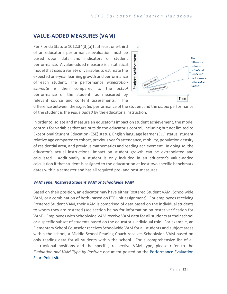# **VALUE-ADDED MEASURES (VAM)**

Per Florida Statute 1012.34(3)(a)1, at least one-third of an educator's performance evaluation must be based upon data and indicators of student performance. A value‐added measure is a statistical model that uses a variety of variables to estimate the expected one‐year learning growth and performance of each student. The performance *expectation estimate* is then compared to the *actual*  performance of the student, as measured by relevant course and content assessments. The



difference between the *expected* performance of the student and the *actual* performance of the student is the *value added* by the educator's instruction.

In order to isolate and measure an educator's impact on student achievement, the model controls for variables that are outside the educator's control, including but not limited to Exceptional Student Education (ESE) status, English language learner (ELL) status, student relative age compared to cohort, previous year's attendance, mobility, population density of residential area, and previous mathematics and reading achievement. In doing so, the educator's actual instructional impact on student growth can be extrapolated and calculated. Additionally, a student is only included in an educator's value-added calculation if that student is assigned to the educator on at least two specific benchmark dates within a semester and has all required pre- and post-measures.

#### *VAM Type: Rostered Student VAM or Schoolwide VAM*

Based on their position, an educator may have either Rostered Student VAM, Schoolwide VAM, or a combination of both (based on FTE unit assignment). For employees receiving Rostered Student VAM, their VAM is comprised of data based on the individual students to whom they are rostered (see section below for information on roster verification for VAM). Employees with Schoolwide VAM receive VAM data for all students at their school or a specific subset of students based on the educator's individual role. For example, an Elementary School Counselor receives Schoolwide VAM for all students and subject areas within the school; a Middle School Reading Coach receives Schoolwide VAM based on only reading data for all students within the school. For a comprehensive list of all instructional positions and the specific, respective VAM type, please refer to the *Evaluation and VAM Type by Position* document posted on the [Performance Evaluation](https://hillsborough.sharepoint.com/sites/PerformanceEvaluation)  [SharePoint site.](https://hillsborough.sharepoint.com/sites/PerformanceEvaluation)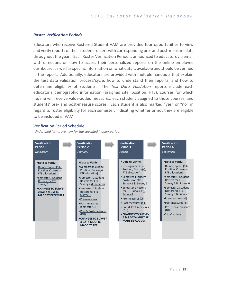#### *Roster Verification Periods*

Educators who receive Rostered Student VAM are provided four opportunities to view and verify reports of their student rosters with corresponding pre- and post-measure data throughout the year. Each Roster Verification Period is announced to educators via email with directions on how to access their personalized reports on the online employee dashboard, as well as specific information on what data is available and should be verified in the report. Additionally, educators are provided with multiple handouts that explain the test data validation process/cycle, how to understand their reports, and how to determine eligibility of students. The *Test Data Validation* reports include each educator's demographic information (assigned site, position, FTE), courses for which he/she will receive value-added measures, each student assigned to those courses, and students' pre- and post-measure scores. Each student is also marked "yes" or "no" in regard to roster eligibility for each semester, indicating whether or not they are eligible to be included in VAM.

#### Verification Period Schedule:

*Underlined items are new for the specified inquiry period.*

| <b>Verification</b>                                                                                                                                                                                                            | <b>Verification</b>                                                                                                                                                                                                                                                                                                                                                                                | <b>Verification</b>                                                                                                                                                                                                                                                                                                                                                                           | <b>Verification</b>                                                                                                                                                                                                                                                                                                                             |
|--------------------------------------------------------------------------------------------------------------------------------------------------------------------------------------------------------------------------------|----------------------------------------------------------------------------------------------------------------------------------------------------------------------------------------------------------------------------------------------------------------------------------------------------------------------------------------------------------------------------------------------------|-----------------------------------------------------------------------------------------------------------------------------------------------------------------------------------------------------------------------------------------------------------------------------------------------------------------------------------------------------------------------------------------------|-------------------------------------------------------------------------------------------------------------------------------------------------------------------------------------------------------------------------------------------------------------------------------------------------------------------------------------------------|
| Period 1                                                                                                                                                                                                                       | Period 2                                                                                                                                                                                                                                                                                                                                                                                           | <b>Period 3</b>                                                                                                                                                                                                                                                                                                                                                                               | Period 4                                                                                                                                                                                                                                                                                                                                        |
| November                                                                                                                                                                                                                       | <b>February</b>                                                                                                                                                                                                                                                                                                                                                                                    | August                                                                                                                                                                                                                                                                                                                                                                                        | September                                                                                                                                                                                                                                                                                                                                       |
| • Data to Verify:<br>• Demographics [Site,<br>Position, Course(s),<br>FTE allocation]<br>• Semester 1 Student<br><b>Rosters for FTE</b><br>Survey 2<br>• CHANGES TO SURVEY<br><b>2 DATA MUST BE</b><br><b>MADE BY DECEMBER</b> | • Data to Verify:<br>• Demographics [Site,<br>Position, Course(s),<br><b>FTE allocation]</b><br>• Semester 1 Student<br><b>Rosters for FTE</b><br>Survey 2 & Survey 6<br>• Semester 2 Student<br><b>Rosters for FTE</b><br>Survey 3<br>• Pre-measures<br>• Post-measures<br>(Semester 1)<br>• Pre- & Post-measures<br>(DJ)<br>• CHANGES TO SURVEY<br><b>3 DATA MUST BE</b><br><b>MADE BY APRIL</b> | • Data to Verify:<br>• Demographics [Site,<br>Position, Course(s),<br>FTE allocation]<br>• Semester 1 Student<br><b>Rosters for FTF</b><br>Survey 2 & Survey 6<br>• Semester 2 Rosters<br>for FTE Survey 3 &<br>Survey 8<br>• Pre-measures (all)<br>• Post-measures (all)<br>• Pre- & Post-measures<br>(DJJ)<br>• CHANGES TO SURVEY<br><b>6 &amp; 8 DATA MUST BE</b><br><b>MADE BY AUGUST</b> | . Data to Verify:<br>• Demographics [Site,<br>Position, Course(s),<br>FTE allocation]<br>• Semester 1 Student<br><b>Rosters for FTF</b><br>Survey 2 & Survey 6<br>• Semester 2 Student<br><b>Rosters for FTE</b><br>Survey 3 & Survey 8<br>• Pre-measures (all)<br>• Post-measures (all)<br>• Pre- & Post-measures<br>(DJJ)<br>• "Star" ratings |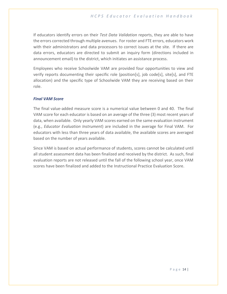If educators identify errors on their *Test Data Validation* reports, they are able to have the errors corrected through multiple avenues. For roster and FTE errors, educators work with their administrators and data processors to correct issues at the site. If there are data errors, educators are directed to submit an inquiry form (directions included in announcement email) to the district, which initiates an assistance process.

Employees who receive Schoolwide VAM are provided four opportunities to view and verify reports documenting their specific role (position[s], job code[s], site[s], and FTE allocation) and the specific type of Schoolwide VAM they are receiving based on their role.

#### *Final VAM Score*

The final value-added measure score is a numerical value between 0 and 40. The final VAM score for each educator is based on an average of the three (3) most recent years of data, when available. Only yearly VAM scores earned on the same evaluation instrument (e.g., *Educator Evaluation Instrument*) are included in the average for Final VAM. For educators with less than three years of data available, the available scores are averaged based on the number of years available.

Since VAM is based on actual performance of students, scores cannot be calculated until all student assessment data has been finalized and received by the district. As such, final evaluation reports are not released until the fall of the following school year, once VAM scores have been finalized and added to the Instructional Practice Evaluation Score.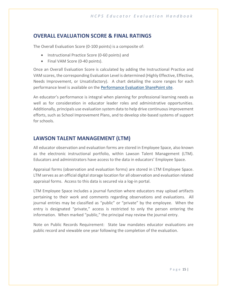# **OVERALL EVALUATION SCORE & FINAL RATINGS**

The Overall Evaluation Score (0-100 points) is a composite of:

- Instructional Practice Score (0-60 points) and
- Final VAM Score (0-40 points).

Once an Overall Evaluation Score is calculated by adding the Instructional Practice and VAM scores, the corresponding Evaluation Level is determined (Highly Effective, Effective, Needs Improvement, or Unsatisfactory). A chart detailing the score ranges for each performance level is available on the [Performance Evaluation SharePoint site.](https://hillsborough.sharepoint.com/sites/PerformanceEvaluation)

An educator's performance is integral when planning for professional learning needs as well as for consideration in educator leader roles and administrative opportunities. Additionally, principals use evaluation system data to help drive continuous improvement efforts, such as School Improvement Plans, and to develop site-based systems of support for schools.

# **LAWSON TALENT MANAGEMENT (LTM)**

All educator observation and evaluation forms are stored in Employee Space, also known as the electronic instructional portfolio, within Lawson Talent Management (LTM). Educators and administrators have access to the data in educators' Employee Space.

Appraisal forms (observation and evaluation forms) are stored in LTM Employee Space. LTM serves as an official digital storage location for all observation and evaluation related appraisal forms. Access to this data is secured via a log-in portal.

LTM Employee Space includes a journal function where educators may upload artifacts pertaining to their work and comments regarding observations and evaluations. All journal entries may be classified as "public" or "private" by the employee. When the entry is designated "private," access is restricted to only the person entering the information. When marked "public," the principal may review the journal entry.

Note on Public Records Requirement: State law mandates educator evaluations are public record and viewable one year following the completion of the evaluation.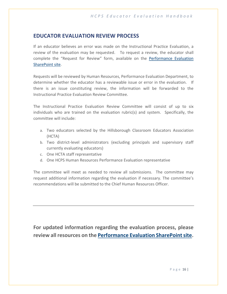# **EDUCATOR EVALUATION REVIEW PROCESS**

If an educator believes an error was made on the Instructional Practice Evaluation, a review of the evaluation may be requested. To request a review, the educator shall complete the "Request for Review" form, available on the [Performance Evaluation](https://hillsborough.sharepoint.com/sites/PerformanceEvaluation)  [SharePoint site.](https://hillsborough.sharepoint.com/sites/PerformanceEvaluation)

Requests will be reviewed by Human Resources, Performance Evaluation Department, to determine whether the educator has a reviewable issue or error in the evaluation. If there is an issue constituting review, the information will be forwarded to the Instructional Practice Evaluation Review Committee.

The Instructional Practice Evaluation Review Committee will consist of up to six individuals who are trained on the evaluation rubric(s) and system. Specifically, the committee will include:

- a. Two educators selected by the Hillsborough Classroom Educators Association (HCTA)
- b. Two district-level administrators (excluding principals and supervisory staff currently evaluating educators)
- c. One HCTA staff representative
- d. One HCPS Human Resources Performance Evaluation representative

The committee will meet as needed to review all submissions. The committee may request additional information regarding the evaluation if necessary. The committee's recommendations will be submitted to the Chief Human Resources Officer.

**For updated information regarding the evaluation process, please review all resources on the [Performance Evaluation SharePoint site.](https://hillsborough.sharepoint.com/sites/PerformanceEvaluation)**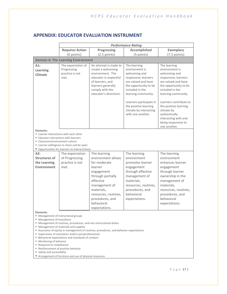# **APPENDIX: EDUCATOR EVALUATION INSTRUMENT**

|                                                                                                                                                                                                                                                                                                                                                                                                                                                                                                                                                                                             |                                                                                                                                        |                                                                                                                                                                                  | <b>Performance Rating</b>                                                                                                                                         |                                                                                                                                                                                |  |
|---------------------------------------------------------------------------------------------------------------------------------------------------------------------------------------------------------------------------------------------------------------------------------------------------------------------------------------------------------------------------------------------------------------------------------------------------------------------------------------------------------------------------------------------------------------------------------------------|----------------------------------------------------------------------------------------------------------------------------------------|----------------------------------------------------------------------------------------------------------------------------------------------------------------------------------|-------------------------------------------------------------------------------------------------------------------------------------------------------------------|--------------------------------------------------------------------------------------------------------------------------------------------------------------------------------|--|
|                                                                                                                                                                                                                                                                                                                                                                                                                                                                                                                                                                                             | <b>Requires Action</b>                                                                                                                 | <b>Progressing</b>                                                                                                                                                               | <b>Accomplished</b>                                                                                                                                               | <b>Exemplary</b>                                                                                                                                                               |  |
|                                                                                                                                                                                                                                                                                                                                                                                                                                                                                                                                                                                             | (0 points)                                                                                                                             | $(2.5$ points)                                                                                                                                                                   | (5 points)                                                                                                                                                        | $(7.5$ points)                                                                                                                                                                 |  |
|                                                                                                                                                                                                                                                                                                                                                                                                                                                                                                                                                                                             | <b>Domain A: The Learning Environment</b>                                                                                              |                                                                                                                                                                                  |                                                                                                                                                                   |                                                                                                                                                                                |  |
| A1:<br>Learning<br>Climate                                                                                                                                                                                                                                                                                                                                                                                                                                                                                                                                                                  | The expectation of<br>Progressing<br>practice is not<br>met.                                                                           | An attempt is made to<br>create a welcoming<br>environment. The<br>educator is respectful<br>of learners, and<br>learners generally<br>comply with the<br>educator's directions. | The learning<br>environment is<br>welcoming and<br>responsive; learners<br>are valued and have<br>the opportunity to be<br>included in the<br>learning community. | The learning<br>environment is<br>welcoming and<br>responsive; learners<br>are valued and have<br>the opportunity to be<br>included in the<br>learning community.              |  |
|                                                                                                                                                                                                                                                                                                                                                                                                                                                                                                                                                                                             |                                                                                                                                        |                                                                                                                                                                                  | Learners participate in<br>the positive learning<br>climate by interacting<br>with one another.                                                                   | Learners contribute to<br>the positive learning<br>climate by<br>authentically<br>interacting with and<br>being responsive to<br>one another.                                  |  |
| Elements:<br>Educator interactions with learners<br>■ Classroom/environment culture                                                                                                                                                                                                                                                                                                                                                                                                                                                                                                         | " Learner interactions with each other<br>" Learner willingness to share and be open<br>" Opportunities for learners to interact/share |                                                                                                                                                                                  |                                                                                                                                                                   |                                                                                                                                                                                |  |
| A2:                                                                                                                                                                                                                                                                                                                                                                                                                                                                                                                                                                                         | The expectation                                                                                                                        | The learning                                                                                                                                                                     | The learning                                                                                                                                                      | The learning                                                                                                                                                                   |  |
| <b>Structures of</b>                                                                                                                                                                                                                                                                                                                                                                                                                                                                                                                                                                        | of Progressing                                                                                                                         | environment allows                                                                                                                                                               | environment                                                                                                                                                       | environment                                                                                                                                                                    |  |
| the Learning<br><b>Environment</b>                                                                                                                                                                                                                                                                                                                                                                                                                                                                                                                                                          | practice is not<br>met.                                                                                                                | for moderate<br>learner<br>engagement<br>through partially<br>effective<br>management of<br>materials,<br>resources, routines,<br>procedures, and<br>behavioral<br>expectations. | promotes learner<br>engagement<br>through effective<br>management of<br>materials,<br>resources, routines,<br>procedures, and<br>behavioral<br>expectations.      | enhances learner<br>engagement<br>through learner<br>ownership in the<br>management of<br>materials,<br>resources, routines,<br>procedures, and<br>behavioral<br>expectations. |  |
| Elements:<br>■ Management of instructional groups<br>■ Management of transitions<br>" Management of routines, procedures, and non-instructional duties<br>" Management of materials and supplies<br>Assurance of equity in management of routines, procedures, and behavior expectations<br>" Supervision of volunteers and/or paraprofessionals<br>■ Behavioral expectations and standards of conduct<br>■ Monitoring of behavior<br>Response to misbehavior<br>Reinforcement of positive behavior<br>■ Safety and accessibility<br>Arrangement of furniture and use of physical resources |                                                                                                                                        |                                                                                                                                                                                  |                                                                                                                                                                   |                                                                                                                                                                                |  |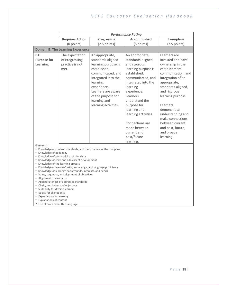|                                                                                                                                                                                                                                                                                                                                                                                                                                                                                                                                                                                                                                                                                                                                                                 |                                                              |                                                                                                                                                                                                                                        | <b>Performance Rating</b>                                                                                                                                                                                                                                                                                  |                                                                                                                                                                                                                                                                                                                          |
|-----------------------------------------------------------------------------------------------------------------------------------------------------------------------------------------------------------------------------------------------------------------------------------------------------------------------------------------------------------------------------------------------------------------------------------------------------------------------------------------------------------------------------------------------------------------------------------------------------------------------------------------------------------------------------------------------------------------------------------------------------------------|--------------------------------------------------------------|----------------------------------------------------------------------------------------------------------------------------------------------------------------------------------------------------------------------------------------|------------------------------------------------------------------------------------------------------------------------------------------------------------------------------------------------------------------------------------------------------------------------------------------------------------|--------------------------------------------------------------------------------------------------------------------------------------------------------------------------------------------------------------------------------------------------------------------------------------------------------------------------|
|                                                                                                                                                                                                                                                                                                                                                                                                                                                                                                                                                                                                                                                                                                                                                                 | <b>Requires Action</b>                                       | <b>Progressing</b>                                                                                                                                                                                                                     | <b>Accomplished</b>                                                                                                                                                                                                                                                                                        | <b>Exemplary</b>                                                                                                                                                                                                                                                                                                         |
|                                                                                                                                                                                                                                                                                                                                                                                                                                                                                                                                                                                                                                                                                                                                                                 | (0 points)                                                   | $(2.5$ points)                                                                                                                                                                                                                         | (5 points)                                                                                                                                                                                                                                                                                                 | $(7.5$ points)                                                                                                                                                                                                                                                                                                           |
|                                                                                                                                                                                                                                                                                                                                                                                                                                                                                                                                                                                                                                                                                                                                                                 | <b>Domain B: The Learning Experience</b>                     |                                                                                                                                                                                                                                        |                                                                                                                                                                                                                                                                                                            |                                                                                                                                                                                                                                                                                                                          |
| B1:<br><b>Purpose for</b><br>Learning                                                                                                                                                                                                                                                                                                                                                                                                                                                                                                                                                                                                                                                                                                                           | The expectation<br>of Progressing<br>practice is not<br>met. | An appropriate,<br>standards-aligned<br>learning purpose is<br>established,<br>communicated, and<br>integrated into the<br>learning<br>experience.<br>Learners are aware<br>of the purpose for<br>learning and<br>learning activities. | An appropriate,<br>standards-aligned,<br>and rigorous<br>learning purpose is<br>established,<br>communicated, and<br>integrated into the<br>learning<br>experience.<br>Learners<br>understand the<br>purpose for<br>learning and<br>learning activities.<br>Connections are<br>made between<br>current and | Learners are<br>invested and have<br>ownership in the<br>establishment,<br>communication, and<br>integration of an<br>appropriate,<br>standards-aligned,<br>and rigorous<br>learning purpose.<br>Learners<br>demonstrate<br>understanding and<br>make connections<br>between current<br>and past, future,<br>and broader |
|                                                                                                                                                                                                                                                                                                                                                                                                                                                                                                                                                                                                                                                                                                                                                                 |                                                              |                                                                                                                                                                                                                                        |                                                                                                                                                                                                                                                                                                            |                                                                                                                                                                                                                                                                                                                          |
| past/future<br>learning.<br>learning.<br>Elements:<br>" Knowledge of content, standards, and the structure of the discipline<br>■ Knowledge of pedagogy<br>Knowledge of prerequisite relationships<br>Knowledge of child and adolescent development<br>■ Knowledge of the learning process<br>Knowledge of learners' skills, knowledge, and language proficiency<br>Knowledge of learners' backgrounds, interests, and needs<br>" Value, sequence, and alignment of objectives<br>Alignment to standards<br>Appropriateness of addressed standards<br>" Clarity and balance of objectives<br>" Suitability for diverse learners<br>" Equity for all students<br><b>Expectations for learning</b><br>Explanations of content<br>Use of oral and written language |                                                              |                                                                                                                                                                                                                                        |                                                                                                                                                                                                                                                                                                            |                                                                                                                                                                                                                                                                                                                          |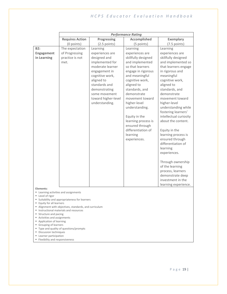|                                                      |                                              |                     | <b>Performance Rating</b> |                        |  |  |
|------------------------------------------------------|----------------------------------------------|---------------------|---------------------------|------------------------|--|--|
|                                                      | <b>Requires Action</b>                       | Progressing         | <b>Accomplished</b>       | <b>Exemplary</b>       |  |  |
|                                                      | (0 points)                                   | $(2.5$ points)      | (5 points)                | $(7.5$ points)         |  |  |
| <b>B2:</b>                                           | The expectation                              | Learning            | Learning                  | Learning               |  |  |
| Engagement                                           | of Progressing                               | experiences are     | experiences are           | experiences are        |  |  |
| in Learning                                          | practice is not                              | designed and        | skillfully designed       | skillfully designed    |  |  |
|                                                      | met.                                         | implemented for     | and implemented           | and implemented so     |  |  |
|                                                      |                                              | moderate learner    | so that learners          | that learners engage   |  |  |
|                                                      |                                              | engagement in       | engage in rigorous        | in rigorous and        |  |  |
|                                                      |                                              | cognitive work,     | and meaningful            | meaningful             |  |  |
|                                                      |                                              | aligned to          | cognitive work,           | cognitive work,        |  |  |
|                                                      |                                              | standards and       | aligned to                | aligned to             |  |  |
|                                                      |                                              | demonstrating       | standards, and            | standards, and         |  |  |
|                                                      |                                              | some movement       | demonstrate               | demonstrate            |  |  |
|                                                      |                                              | toward higher-level | movement toward           | movement toward        |  |  |
|                                                      |                                              | understanding.      | higher-level              | higher-level           |  |  |
|                                                      |                                              |                     | understanding.            | understanding while    |  |  |
|                                                      |                                              |                     |                           | fostering learners'    |  |  |
|                                                      |                                              |                     | Equity in the             | intellectual curiosity |  |  |
|                                                      |                                              |                     | learning process is       | about the content.     |  |  |
|                                                      |                                              |                     | ensured through           |                        |  |  |
|                                                      |                                              |                     | differentiation of        | Equity in the          |  |  |
|                                                      |                                              |                     | learning                  | learning process is    |  |  |
|                                                      |                                              |                     | experiences.              | ensured through        |  |  |
|                                                      |                                              |                     |                           | differentiation of     |  |  |
|                                                      |                                              |                     |                           | learning               |  |  |
|                                                      |                                              |                     |                           | experiences.           |  |  |
|                                                      |                                              |                     |                           | Through ownership      |  |  |
|                                                      |                                              |                     |                           | of the learning        |  |  |
|                                                      |                                              |                     |                           | process, learners      |  |  |
|                                                      |                                              |                     |                           | demonstrate deep       |  |  |
|                                                      |                                              |                     |                           | investment in the      |  |  |
|                                                      |                                              |                     |                           | learning experience.   |  |  |
| Elements:                                            |                                              |                     |                           |                        |  |  |
| " Learning activities and assignments                |                                              |                     |                           |                        |  |  |
| Level of rigor                                       | Suitability and appropriateness for learners |                     |                           |                        |  |  |
| <b>Equity for all learners</b>                       |                                              |                     |                           |                        |  |  |
| Alignment with objectives, standards, and curriculum |                                              |                     |                           |                        |  |  |
| " Instructional materials and resources              |                                              |                     |                           |                        |  |  |
| " Structure and pacing<br>Activities and assignments |                                              |                     |                           |                        |  |  |
|                                                      | Application of learning                      |                     |                           |                        |  |  |
| Grouping of learners                                 |                                              |                     |                           |                        |  |  |
| Discussion techniques                                | " Type and quality of questions/prompts      |                     |                           |                        |  |  |
| <b>Learner participation</b>                         |                                              |                     |                           |                        |  |  |
| ■ Flexibility and responsiveness                     |                                              |                     |                           |                        |  |  |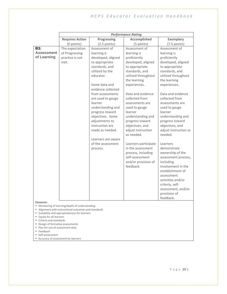|                   |                        |                    | <b>Performance Rating</b> |                       |
|-------------------|------------------------|--------------------|---------------------------|-----------------------|
|                   | <b>Requires Action</b> | <b>Progressing</b> | <b>Accomplished</b>       | <b>Exemplary</b>      |
|                   | (0 points)             | $(2.5$ points)     | (5 points)                | $(7.5$ points)        |
| B3:               | The expectation        | Assessment of      | Assessment of             | Assessment of         |
| <b>Assessment</b> | of Progressing         | learning is        | learning is               | learning is           |
| of Learning       | practice is not        | developed, aligned | proficiently              | proficiently          |
|                   | met.                   | to appropriate     | developed, aligned        | developed, aligned    |
|                   |                        | standards, and     | to appropriate            | to appropriate        |
|                   |                        | utilized by the    | standards, and            | standards, and        |
|                   |                        | educator.          | utilized throughout       | utilized throughout   |
|                   |                        |                    | the learning              | the learning          |
|                   |                        | Some data and      | experiences.              | experiences.          |
|                   |                        | evidence collected |                           |                       |
|                   |                        | from assessments   | Data and evidence         | Data and evidence     |
|                   |                        | are used to gauge  | collected from            | collected from        |
|                   |                        | learner            | assessments are           | assessments are       |
|                   |                        | understanding and  | used to gauge             | used to gauge         |
|                   |                        | progress toward    | learner                   | learner               |
|                   |                        | objectives. Some   | understanding and         | understanding and     |
|                   |                        | adjustments to     | progress toward           | progress toward       |
|                   |                        | instruction are    | objectives, and           | objectives, and       |
|                   |                        | made as needed.    | adjust instruction        | adjust instruction as |
|                   |                        |                    | as needed.                | needed.               |
|                   |                        | Learners are aware |                           |                       |
|                   |                        | of the assessment  | Learners participate      | Learners              |
|                   |                        | process.           | in the assessment         | demonstrate           |
|                   |                        |                    | process, including        | ownership of the      |
|                   |                        |                    | self-assessment           | assessment process,   |
|                   |                        |                    | and/or provision of       | including             |
|                   |                        |                    | feedback.                 | involvement in the    |
|                   |                        |                    |                           | establishment of      |
|                   |                        |                    |                           | assessment            |
|                   |                        |                    |                           | activities and/or     |
|                   |                        |                    |                           | criteria, self-       |
|                   |                        |                    |                           | assessment, and/or    |
|                   |                        |                    |                           | provision of          |
|                   |                        |                    |                           | feedback.             |

**Elements:**

- Monitoring of learning/depth of understanding
- Alignment with instructional outcomes and standards
- Suitability and appropriateness for learners
- Equity for all learners
- Criteria and standards
- Design of formative assessments
- Plan for use of assessment data
- Feedback
- Self-assessment
- Accuracy of assessment by learners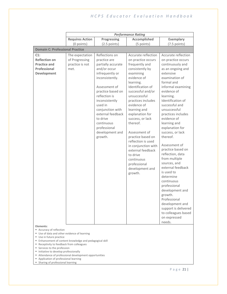|                                                                                                          |                                                              |                                                                                                                                                                                                                                                                                                                 | <b>Performance Rating</b>                                                                                                                                                                                                                                                                                                                                                                                                                                                 |                                                                                                                                                                                                                                                                                                                                                                                                                                                                                                                                                                                                                                                                     |  |  |  |  |
|----------------------------------------------------------------------------------------------------------|--------------------------------------------------------------|-----------------------------------------------------------------------------------------------------------------------------------------------------------------------------------------------------------------------------------------------------------------------------------------------------------------|---------------------------------------------------------------------------------------------------------------------------------------------------------------------------------------------------------------------------------------------------------------------------------------------------------------------------------------------------------------------------------------------------------------------------------------------------------------------------|---------------------------------------------------------------------------------------------------------------------------------------------------------------------------------------------------------------------------------------------------------------------------------------------------------------------------------------------------------------------------------------------------------------------------------------------------------------------------------------------------------------------------------------------------------------------------------------------------------------------------------------------------------------------|--|--|--|--|
|                                                                                                          | <b>Requires Action</b>                                       | Progressing                                                                                                                                                                                                                                                                                                     | <b>Accomplished</b>                                                                                                                                                                                                                                                                                                                                                                                                                                                       | <b>Exemplary</b>                                                                                                                                                                                                                                                                                                                                                                                                                                                                                                                                                                                                                                                    |  |  |  |  |
|                                                                                                          | (0 points)                                                   | $(2.5$ points)                                                                                                                                                                                                                                                                                                  | (5 points)                                                                                                                                                                                                                                                                                                                                                                                                                                                                | $(7.5$ points)                                                                                                                                                                                                                                                                                                                                                                                                                                                                                                                                                                                                                                                      |  |  |  |  |
| <b>Domain C: Professional Practice</b>                                                                   |                                                              |                                                                                                                                                                                                                                                                                                                 |                                                                                                                                                                                                                                                                                                                                                                                                                                                                           |                                                                                                                                                                                                                                                                                                                                                                                                                                                                                                                                                                                                                                                                     |  |  |  |  |
| $C1$ :<br><b>Reflection on</b><br><b>Practice and</b><br>Professional<br><b>Development</b><br>Elements: | The expectation<br>of Progressing<br>practice is not<br>met. | Reflections on<br>practice are<br>partially accurate<br>and/or occur<br>infrequently or<br>inconsistently.<br>Assessment of<br>practice based on<br>reflection is<br>inconsistently<br>used in<br>conjunction with<br>external feedback<br>to drive<br>continuous<br>professional<br>development and<br>growth. | Accurate reflection<br>on practice occurs<br>frequently and<br>consistently by<br>examining<br>evidence of<br>learning.<br>Identification of<br>successful and/or<br>unsuccessful<br>practices includes<br>evidence of<br>learning and<br>explanation for<br>success, or lack<br>thereof.<br>Assessment of<br>practice based on<br>reflection is used<br>in conjunction with<br>external feedback<br>to drive<br>continuous<br>professional<br>development and<br>growth. | Accurate reflection<br>on practice occurs<br>continuously and<br>as an ongoing and<br>extensive<br>examination of<br>formal and<br>informal examining<br>evidence of<br>learning.<br>Identification of<br>successful and<br>unsuccessful<br>practices includes<br>evidence of<br>learning and<br>explanation for<br>success, or lack<br>thereof.<br>Assessment of<br>practice based on<br>reflection, data<br>from multiple<br>sources, and<br>external feedback<br>is used to<br>determine<br>continuous<br>professional<br>development and<br>growth.<br>Professional<br>development and<br>support is delivered<br>to colleagues based<br>on expressed<br>needs. |  |  |  |  |
| Accuracy of reflection<br>Use of data and other evidence of learning                                     |                                                              |                                                                                                                                                                                                                                                                                                                 |                                                                                                                                                                                                                                                                                                                                                                                                                                                                           |                                                                                                                                                                                                                                                                                                                                                                                                                                                                                                                                                                                                                                                                     |  |  |  |  |
| Use in future practice                                                                                   |                                                              |                                                                                                                                                                                                                                                                                                                 |                                                                                                                                                                                                                                                                                                                                                                                                                                                                           |                                                                                                                                                                                                                                                                                                                                                                                                                                                                                                                                                                                                                                                                     |  |  |  |  |
|                                                                                                          |                                                              |                                                                                                                                                                                                                                                                                                                 |                                                                                                                                                                                                                                                                                                                                                                                                                                                                           | " Enhancement of content knowledge and pedagogical skill<br>" Receptivity to feedback from colleagues                                                                                                                                                                                                                                                                                                                                                                                                                                                                                                                                                               |  |  |  |  |

- Services to the profession
- Initiative to develop professionally
- Attendance of professional development opportunities
- **B** Application of professional learning
- **B** Sharing of professional learning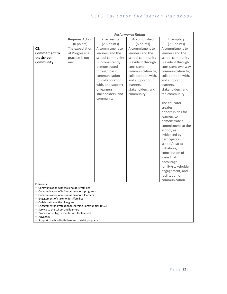|                                                                                                                                                                                                                                         |                                                                                                               |                                                                                                                                                                                                                             | <b>Performance Rating</b>                                                                                                                                                                                 |                                                                                                                                                                                                                                                                                                                                                                                                                                                  |
|-----------------------------------------------------------------------------------------------------------------------------------------------------------------------------------------------------------------------------------------|---------------------------------------------------------------------------------------------------------------|-----------------------------------------------------------------------------------------------------------------------------------------------------------------------------------------------------------------------------|-----------------------------------------------------------------------------------------------------------------------------------------------------------------------------------------------------------|--------------------------------------------------------------------------------------------------------------------------------------------------------------------------------------------------------------------------------------------------------------------------------------------------------------------------------------------------------------------------------------------------------------------------------------------------|
|                                                                                                                                                                                                                                         | <b>Requires Action</b>                                                                                        | Progressing                                                                                                                                                                                                                 | <b>Accomplished</b>                                                                                                                                                                                       | <b>Exemplary</b>                                                                                                                                                                                                                                                                                                                                                                                                                                 |
|                                                                                                                                                                                                                                         | (0 points)                                                                                                    | $(2.5$ points)                                                                                                                                                                                                              | (5 points)                                                                                                                                                                                                | $(7.5$ points)                                                                                                                                                                                                                                                                                                                                                                                                                                   |
| C2:<br><b>Commitment to</b><br>the School<br>Community                                                                                                                                                                                  | The expectation<br>of Progressing<br>practice is not<br>met.                                                  | A commitment to<br>learners and the<br>school community<br>is inconsistently<br>demonstrated<br>through basic<br>communication<br>to, collaboration<br>with, and support<br>of learners,<br>stakeholders, and<br>community. | A commitment to<br>learners and the<br>school community<br>is evident through<br>consistent<br>communication to,<br>collaboration with,<br>and support of<br>learners,<br>stakeholders, and<br>community. | A commitment to<br>learners and the<br>school community<br>is evident through<br>consistent two-way<br>communication to,<br>collaboration with,<br>and support of<br>learners,<br>stakeholders, and<br>the community.<br>The educator<br>creates<br>opportunities for<br>learners to<br>demonstrate a<br>commitment to the<br>school, as<br>evidenced by<br>participation in<br>school/district<br>initiatives,<br>contribution of<br>ideas that |
| Elements:<br>" Communication with stakeholders/families<br>" Communication of information about programs                                                                                                                                |                                                                                                               |                                                                                                                                                                                                                             |                                                                                                                                                                                                           | encourage<br>family/stakeholder<br>engagement, and<br>facilitation of<br>communication.                                                                                                                                                                                                                                                                                                                                                          |
| " Communication of information about learners<br>■ Engagement of stakeholders/families<br>" Collaboration with colleagues<br>٠.<br>Service to the school and learners<br>Promotion of high expectations for learners<br>■ Advocacy<br>٠ | Engagement in Professional Learning Communities (PLCs)<br>Support of school initiatives and district programs |                                                                                                                                                                                                                             |                                                                                                                                                                                                           |                                                                                                                                                                                                                                                                                                                                                                                                                                                  |